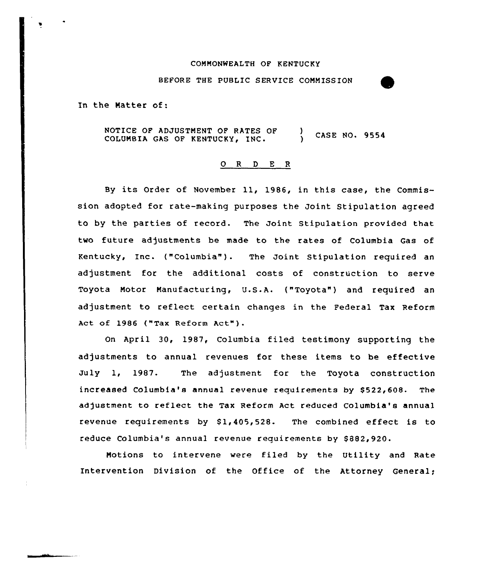### COMMONWEALTH OF KENTUCKy

## BEFORE THE PUBLIC SERVICE COMMISSION

In the Natter of:

NOTICE OF ADJUSTMENT OF RATES OF (3) CASE NO. 9554 COLUMBIA GAS OF KENTUCKY, INC.

## ORDER

By its Order of November 11, 1986, in this case, the Commission adopted for rate-making purposes the Joint Stipulation agreed to by the parties of record. The Joint Stipulation provided that two future adjustments be made to the rates of Columbia Gas of Kentucky, Inc. ("Columbia"). The Joint Stipulation required an adjustment for the additional costs of construction to serve Toyota Motor Manufacturing, U.S.A. {"Toyota") and required an adjustment to reflect certain changes in the Federal Tax Reform Act of 1986 ("Tax Reform Act"}.

On April 30, 1987, Columbia filed testimony supporting the adjustments to annual revenues for these items to be effective July 1, 1987. The adjustment for the Toyota construction increased Columbia's annual revenue requirements by \$522,608. The adjustment to reflect the Tax Reform Act reduced Columbia's annual revenue requirements by  $$1,405,528$ . The combined effect is to reduce Columbia's annual revenue requirements by \$882,920.

Motions to intervene were filed by the Utility and Rate Intervention Division of the Office of the Attorney General;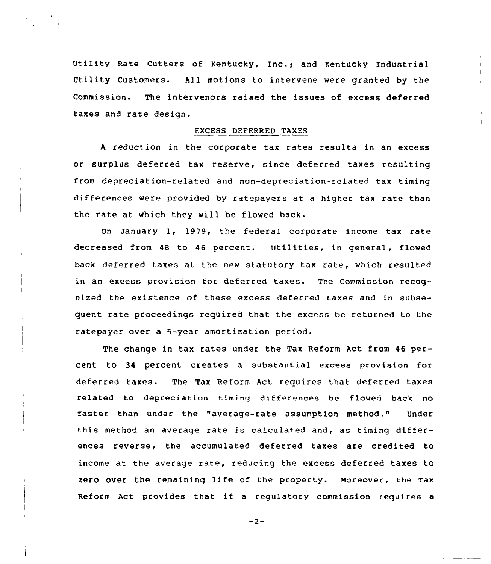Utility Rate cutters of Kentucky, Inc.; and Kentucky Industrial Utility Customers. All motions to intervene were granted by the Commission. The intervenors raised the issues of excess deferred taxes and rate design.

### EXCESS DEFERRED TAXES

<sup>A</sup> reduction in the corporate tax rates results in an excess or surplus deferred tax reserve, since deferred taxes resulting from depreciation-related and non-depreciation-related tax timing differences were provided by ratepayers at a higher tax rate than the rate at which they will be flowed back.

On January l, 1979, the federal corporate income tax rate decreased from <sup>48</sup> to 46 percent. Utilities, in general, flowed back deferred taxes at the new statutory tax rate, which resulted in an excess provision for deferred taxes. The Commission recognized the existence of these excess deferred taxes and in subsequent rate proceedings required that the excess be returned to the ratepayer over a 5-year amortization period.

The change in tax rates under the Tax Reform Act from 46 percent to 34 percent creates a substantial excess provision for deferred taxes. The Tax Reform Act requires that deferred taxes related to depreciation timing differences be flowed back no faster than under the "average-rate assumption method." Under this method an average rate is calculated and, as timing differences reverse, the accumulated deferred taxes are credited to income at the average rate, reducing the excess deferred taxes to zero over the remaining life of the property. moreover, the Tax Reform Act provides that if <sup>a</sup> regulatory commission requires <sup>a</sup>

$$
-2 -
$$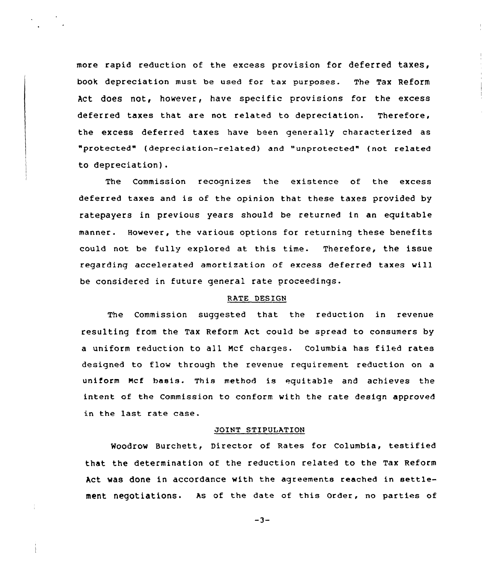more rapid reduction of the excess provision for deferred taxes, book depreciation must be used for tax purposes. The Tax Reform Act does not, however, have specific provisions for the excess deferred taxes that are not related to depreciation. Therefore, the excess deferred taxes have been generally characterized as "protected" (depreciation-related) and "unprotected" (not related to depreciation).

The Commission recognizes the existence of the excess deferred taxes and is of the opinion that these taxes provided by ratepayers in previous years should be returned in an equitable manner. However, the various options for returning these benefits could not be fully explored at this time. Therefore, the issue regarding accelerated amortization of excess deferred taxes will be considered in future general rate proceedings.

## RATE DESIGN

The Commission suggested that the reduction in revenue resulting from the Tax Reform Act could be spread to consumers by a uniform reduction to all Ncf charges. Columbia has filed rates designed to flow through the revenue requirement reduction on a uniform mcf basis. This method is equitable and achieves the intent of the Commission to conform with the rate design approved in the last rate case.

## JOINT STIPULATION

Woodrow Burchett, Director of Rates for Columbia, testified that the determination of the reduction related to the Tax Reform Act was done in accordance with the agreements reached in settlement negotiations. As of the date of this order, no parties of

 $-3-$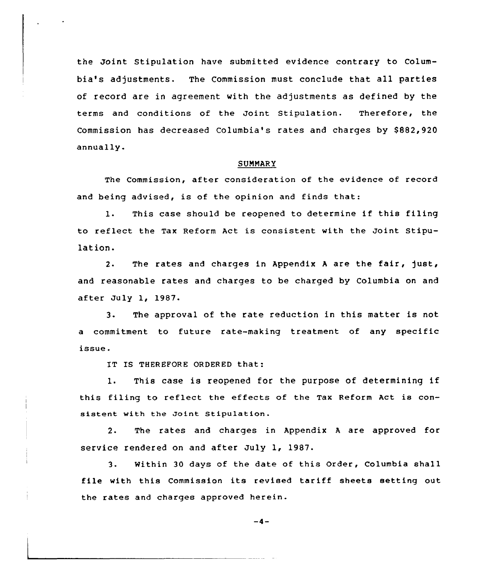the Joint Stipulation have submitted evidence contrary to Columbia's adjustments. The Commission must conclude that all parties of record are in agreement with the adjustments as defined by the terms and conditions of the Joint Stipulation. Therefore, the Commission has decreased Columbia's rates and charges by \$882,920 annually.

### SUMMARY

The Commission, after consideration of the evidence of record and being advised, is of the opinion and finds that:

1. This case should be reopened to determine if this filing to reflect the Tax Reform Act is consistent with the Joint Stipulation.

2. The rates and charges in Appendix <sup>A</sup> are the fair, just, and reasonable rates and charges to be charged by Columbia on and after July 1, 1987.

3. The approval of the rate reduction in this matter is not a commitment to future rate-making treatment of any specific issue.

IT IS THEREFORE ORDERED that:

1. This case is reopened for the purpose of determining if this filing to reflect the effects of the Tax Reform Act is consistent with the Joint Stipulation.

2. The rates and charges in Appendix <sup>A</sup> are approved for service rendered on and after July 1, 1987.

3. Within 30 days of the date of this Order, Columbia shall file with this Commission its revised tariff sheets setting out the rates and charges approved herein.

 $-4-$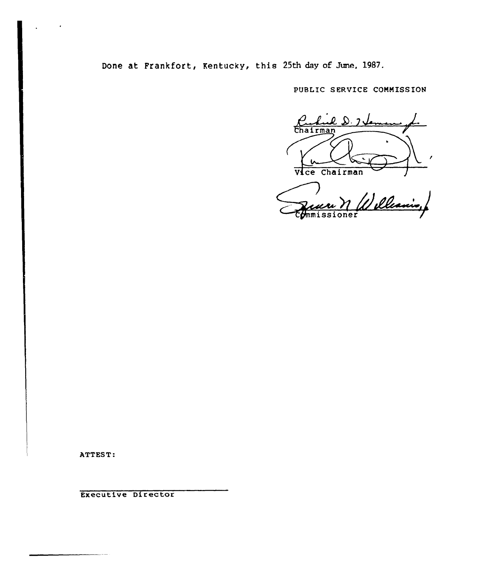Done at Frankfort, Kentucky, this 25th day of June, 19S7.

PUBLIC SERVICE COMMISSION

 $\perp$  $20.7$ Chairman

Vice Chairman J zuer N<br>mmissioner

ATTEST:

 $\ddot{\phantom{1}}$ 

Executive Director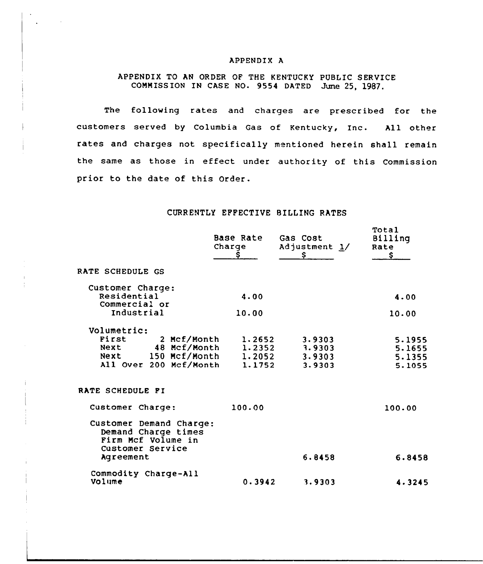# APPENDIX A

# APPENDIX TO AN ORDER OF THE KENTUCKY PUBLIC SERVICE COMMISSION IN CASE NO. 9554 DATED June 25, 1987.

The following rates and charges are prescribed for the customers served by Columbia Gas of Kentucky, Inc. All other rates and charges not specifically mentioned herein shall remain the same as those in effect under authority of this Commission prior to the date of this Order.

# CURRENTLY EFFECTIVE BILLING RATES

|                                                                                                                    | Base Rate<br>Charge<br>s   | Gas Cost<br>Adjustment 1/<br>\$      | <b>Total</b><br>Billing<br>Rate<br>\$. |
|--------------------------------------------------------------------------------------------------------------------|----------------------------|--------------------------------------|----------------------------------------|
| RATE SCHEDULE GS                                                                                                   |                            |                                      |                                        |
| Customer Charge:<br>Residential                                                                                    | 4.00                       |                                      | 4.00                                   |
| Commercial or<br>Industrial                                                                                        | 10.00                      |                                      | 10.00                                  |
| Volumetric:<br>First<br>2 Mcf/Month<br>48 Mcf/Month<br>Next<br>Next 150 Mcf/Month 1.2052<br>All Over 200 Mcf/Month | 1.2652<br>1.2352<br>1.1752 | 3.9303<br>3.9303<br>3.9303<br>3.9303 | 5.1955<br>5.1655<br>5.1355<br>5.1055   |
| RATE SCHEDULE FI                                                                                                   |                            |                                      |                                        |
| Customer Charge:                                                                                                   | 100.00                     |                                      | 100.00                                 |
| Customer Demand Charge:<br>Demand Charge times<br>Firm Mcf Volume in<br>Customer Service<br>Agreement              |                            | 6.8458                               | 6.8458                                 |
| Commodity Charge-All<br>Volume                                                                                     | 0.3942                     | 3.9303                               | 4.3245                                 |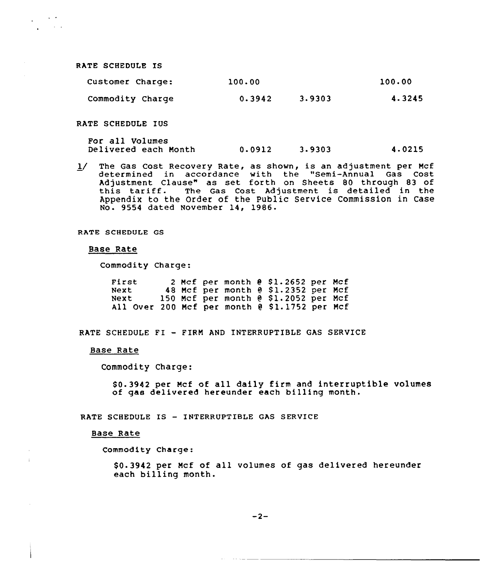RATE SCHEDULE IS

 $\omega_{\rm{eff}} \sim 10^{-2}$  $\sim 10^{11}$  km  $^{-2}$ 

| Customer Charge: | 100.00 | 100.00 |        |
|------------------|--------|--------|--------|
| Commodity Charge | 0.3942 | 3.9303 | 4.3245 |

RATE SCHEDULE IUS

For all Volumes Delivered each Month 0-0912 3.9303 4.0215

1/ The Gas Cost Recovery Rate, as shown, is an adjustment per Mcf determined in accordance with the "Semi-Annual Gas Cost Adjustment Clause" as set forth on Sheets 80 through 83 of this tariff. The Gas Cost Adjustment is detailed in the Appendix to the Order of the Public Service Commission in Case No. 9554 dated November 14, 1986.

RATE SCHEDULE GS

### Base Rate

Commodity Charge:

| First                                         |  |  | 2 Mcf per month $e$ \$1.2652 per Mcf   |  |
|-----------------------------------------------|--|--|----------------------------------------|--|
| Next                                          |  |  | 48 Mcf per month @ \$1.2352 per Mcf    |  |
| Next                                          |  |  | 150 Mcf per month $e$ \$1.2052 per Mcf |  |
| All Over 200 Mcf per month @ \$1.1752 per Mcf |  |  |                                        |  |

RATE SCHEDULE FI - FIRM AND INTERRUPTIBLE GAS SERVICE

## Base Rate

Commodity Charge:

\$ 0.3942 per Mcf of all daily firm and interruptible volumes of gas delivered hereunder each billing month.

RATE SCHEDULE IS — INTERRUPTIBLE GAS SERVICE

### Base Rate

Commodity Charge:

\$0.3942 per Mcf of all volumes of gas delivered hereunder each billing month.